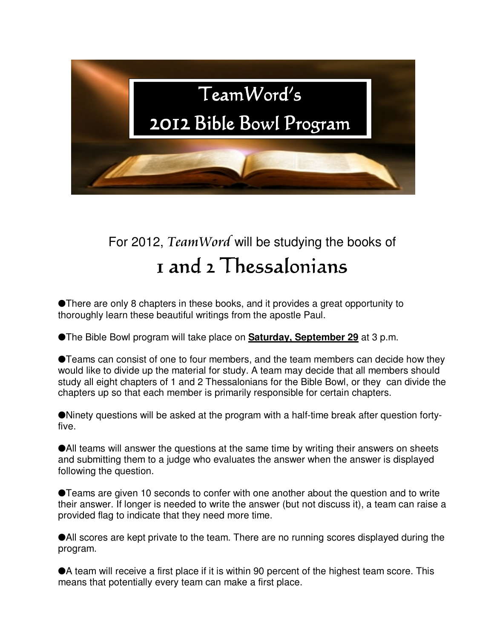

## For 2012, TeamWord will be studying the books of 1 and 2 Thessalonians 1

There are only 8 chapters in these books, and it provides a great opportunity to thoroughly learn these beautiful writings from the apostle Paul.

The Bible Bowl program will take place on **Saturday, September 29** at 3 p.m.

Teams can consist of one to four members, and the team members can decide how they would like to divide up the material for study. A team may decide that all members should study all eight chapters of 1 and 2 Thessalonians for the Bible Bowl, or they can divide the chapters up so that each member is primarily responsible for certain chapters.

Ninety questions will be asked at the program with a half-time break after question fortyfive.

All teams will answer the questions at the same time by writing their answers on sheets and submitting them to a judge who evaluates the answer when the answer is displayed following the question.

Teams are given 10 seconds to confer with one another about the question and to write their answer. If longer is needed to write the answer (but not discuss it), a team can raise a provided flag to indicate that they need more time.

All scores are kept private to the team. There are no running scores displayed during the program.

A team will receive a first place if it is within 90 percent of the highest team score. This means that potentially every team can make a first place.